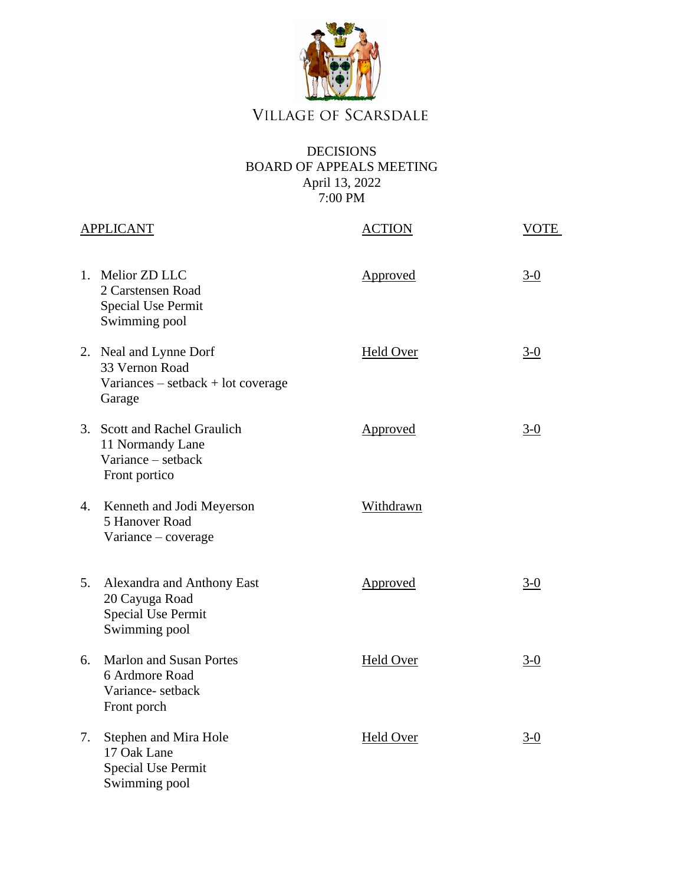

## VILLAGE OF SCARSDALE

## DECISIONS BOARD OF APPEALS MEETING April 13, 2022 7:00 PM

|                | <b>APPLICANT</b>                                                                           | <b>ACTION</b>    | VOTE  |
|----------------|--------------------------------------------------------------------------------------------|------------------|-------|
|                | 1. Melior ZD LLC<br>2 Carstensen Road<br><b>Special Use Permit</b><br>Swimming pool        | Approved         | $3-0$ |
|                | 2. Neal and Lynne Dorf<br>33 Vernon Road<br>$Variances - setback + lot coverage$<br>Garage | <b>Held Over</b> | $3-0$ |
|                | 3. Scott and Rachel Graulich<br>11 Normandy Lane<br>Variance – setback<br>Front portico    | Approved         | $3-0$ |
| 4.             | Kenneth and Jodi Meyerson<br>5 Hanover Road<br>Variance - coverage                         | Withdrawn        |       |
| 5 <sub>1</sub> | Alexandra and Anthony East<br>20 Cayuga Road<br><b>Special Use Permit</b><br>Swimming pool | Approved         | $3-0$ |
| 6.             | <b>Marlon and Susan Portes</b><br>6 Ardmore Road<br>Variance-setback<br>Front porch        | <b>Held Over</b> | $3-0$ |
| 7.             | Stephen and Mira Hole<br>17 Oak Lane<br><b>Special Use Permit</b><br>Swimming pool         | <b>Held Over</b> | $3-0$ |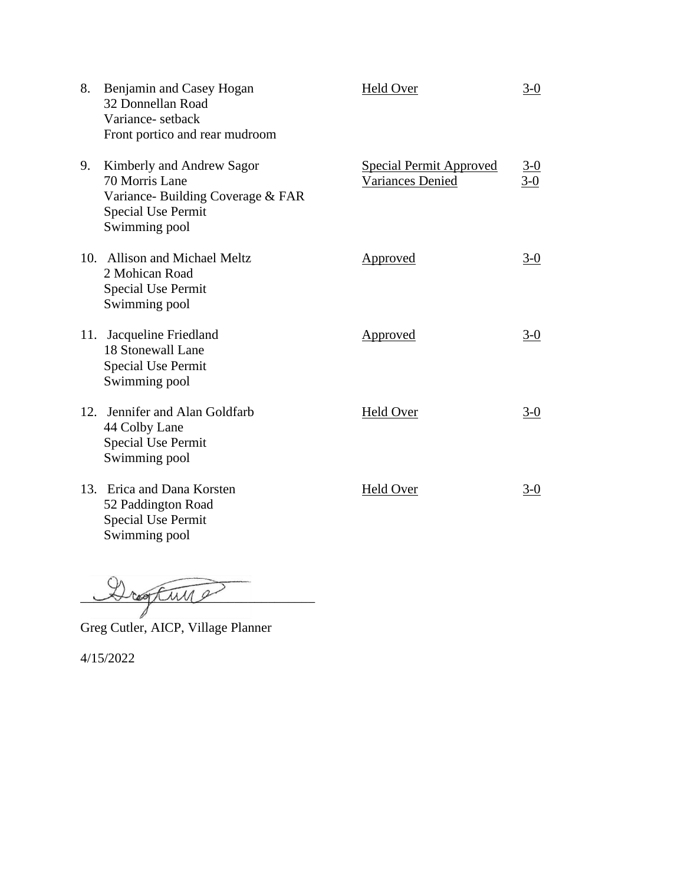| 8. | Benjamin and Casey Hogan<br>32 Donnellan Road<br>Variance-setback<br>Front portico and rear mudroom                           | Held Over                                                 | $3-0$             |
|----|-------------------------------------------------------------------------------------------------------------------------------|-----------------------------------------------------------|-------------------|
| 9. | Kimberly and Andrew Sagor<br>70 Morris Lane<br>Variance-Building Coverage & FAR<br><b>Special Use Permit</b><br>Swimming pool | <b>Special Permit Approved</b><br><b>Variances Denied</b> | $\frac{3-0}{3-0}$ |
|    | 10. Allison and Michael Meltz<br>2 Mohican Road<br><b>Special Use Permit</b><br>Swimming pool                                 | Approved                                                  | $3-0$             |
|    | 11. Jacqueline Friedland<br>18 Stonewall Lane<br><b>Special Use Permit</b><br>Swimming pool                                   | Approved                                                  | $3-0$             |
|    | 12. Jennifer and Alan Goldfarb<br>44 Colby Lane<br><b>Special Use Permit</b><br>Swimming pool                                 | Held Over                                                 | $3-0$             |
|    | 13. Erica and Dana Korsten<br>52 Paddington Road<br><b>Special Use Permit</b><br>Swimming pool                                | Held Over                                                 | $3-0$             |

 $\mathcal{L}_{\mathcal{L}}$ 

Greg Cutler, AICP, Village Planner

4/15/2022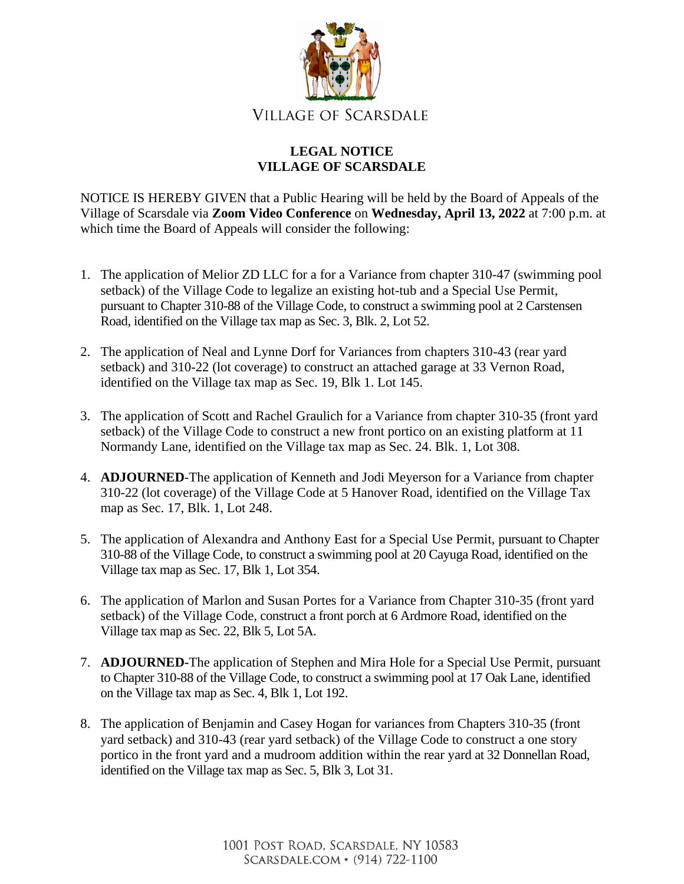

## **LEGAL NOTICE VILLAGE OF SCARSDALE**

NOTICE IS HEREBY GIVEN that a Public Hearing will be held by the Board of Appeals of the Village of Scarsdale via **Zoom Video Conference** on **Wednesday, April 13, 2022** at 7:00 p.m. at which time the Board of Appeals will consider the following:

- 1. The application of Melior ZD LLC for a for a Variance from chapter 310-47 (swimming pool setback) of the Village Code to legalize an existing hot-tub and a Special Use Permit, pursuant to Chapter 310-88 of the Village Code, to construct a swimming pool at 2 Carstensen Road, identified on the Village tax map as Sec. 3, Blk. 2, Lot 52.
- 2. The application of Neal and Lynne Dorf for Variances from chapters 310-43 (rear yard setback) and 310-22 (lot coverage) to construct an attached garage at 33 Vernon Road, identified on the Village tax map as Sec. 19, Blk 1. Lot 145.
- 3. The application of Scott and Rachel Graulich for a Variance from chapter 310-35 (front yard setback) of the Village Code to construct a new front portico on an existing platform at 11 Normandy Lane, identified on the Village tax map as Sec. 24. Blk. 1, Lot 308.
- 4. **ADJOURNED**-The application of Kenneth and Jodi Meyerson for a Variance from chapter 310-22 (lot coverage) of the Village Code at 5 Hanover Road, identified on the Village Tax map as Sec. 17, Blk. 1, Lot 248.
- 5. The application of Alexandra and Anthony East for a Special Use Permit, pursuant to Chapter 310-88 of the Village Code, to construct a swimming pool at 20 Cayuga Road, identified on the Village tax map as Sec. 17, Blk 1, Lot 354.
- 6. The application of Marlon and Susan Portes for a Variance from Chapter 310-35 (front yard setback) of the Village Code, construct a front porch at 6 Ardmore Road, identified on the Village tax map as Sec. 22, Blk 5, Lot 5A.
- 7. **ADJOURNED-**The application of Stephen and Mira Hole for a Special Use Permit, pursuant to Chapter 310-88 of the Village Code, to construct a swimming pool at 17 Oak Lane, identified on the Village tax map as Sec. 4, Blk 1, Lot 192.
- 8. The application of Benjamin and Casey Hogan for variances from Chapters 310-35 (front yard setback) and 310-43 (rear yard setback) of the Village Code to construct a one story portico in the front yard and a mudroom addition within the rear yard at 32 Donnellan Road, identified on the Village tax map as Sec. 5, Blk 3, Lot 31.